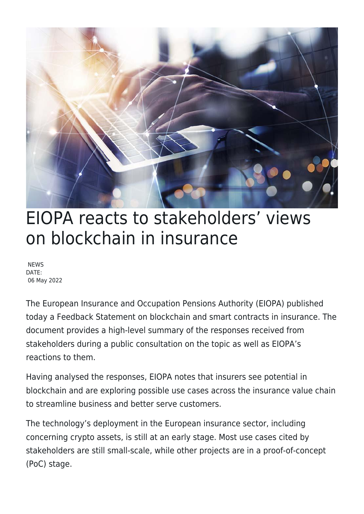

## EIOPA reacts to stakeholders' views on blockchain in insurance

**NEWS** DATE: 06 May 2022

The European Insurance and Occupation Pensions Authority (EIOPA) published today a Feedback Statement on blockchain and smart contracts in insurance. The document provides a high-level summary of the responses received from stakeholders during a public consultation on the topic as well as EIOPA's reactions to them.

Having analysed the responses, EIOPA notes that insurers see potential in blockchain and are exploring possible use cases across the insurance value chain to streamline business and better serve customers.

The technology's deployment in the European insurance sector, including concerning crypto assets, is still at an early stage. Most use cases cited by stakeholders are still small-scale, while other projects are in a proof-of-concept (PoC) stage.